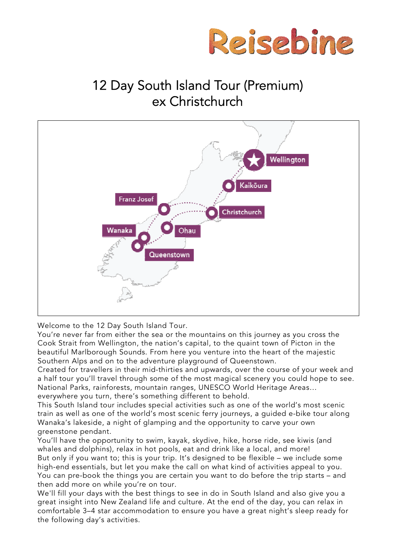

# 12 Day South Island Tour (Premium) ex Christchurch



Welcome to the 12 Day South Island Tour.

You're never far from either the sea or the mountains on this journey as you cross the Cook Strait from Wellington, the nation's capital, to the quaint town of Picton in the beautiful Marlborough Sounds. From here you venture into the heart of the majestic Southern Alps and on to the adventure playground of Queenstown.

Created for travellers in their mid-thirties and upwards, over the course of your week and a half tour you'll travel through some of the most magical scenery you could hope to see. National Parks, rainforests, mountain ranges, UNESCO World Heritage Areas… everywhere you turn, there's something different to behold.

This South Island tour includes special activities such as one of the world's most scenic train as well as one of the world's most scenic ferry journeys, a guided e-bike tour along Wanaka's lakeside, a night of glamping and the opportunity to carve your own greenstone pendant.

You'll have the opportunity to swim, kayak, skydive, hike, horse ride, see kiwis (and whales and dolphins), relax in hot pools, eat and drink like a local, and more! But only if you want to; this is your trip. It's designed to be flexible – we include some high-end essentials, but let you make the call on what kind of activities appeal to you. You can pre-book the things you are certain you want to do before the trip starts – and then add more on while you're on tour.

We'll fill your days with the best things to see in do in South Island and also give you a great insight into New Zealand life and culture. At the end of the day, you can relax in comfortable 3–4 star accommodation to ensure you have a great night's sleep ready for the following day's activities.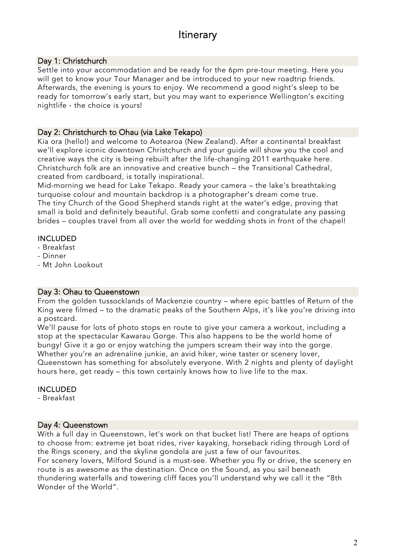# **Itinerary**

# Day 1: Christchurch

Settle into your accommodation and be ready for the 6pm pre-tour meeting. Here you will get to know your Tour Manager and be introduced to your new roadtrip friends. Afterwards, the evening is yours to enjoy. We recommend a good night's sleep to be ready for tomorrow's early start, but you may want to experience Wellington's exciting nightlife - the choice is yours!

## Day 2: Christchurch to Ohau (via Lake Tekapo)

Kia ora (hello!) and welcome to Aotearoa (New Zealand). After a continental breakfast we'll explore iconic downtown Christchurch and your guide will show you the cool and creative ways the city is being rebuilt after the life-changing 2011 earthquake here. Christchurch folk are an innovative and creative bunch – the Transitional Cathedral, created from cardboard, is totally inspirational.

Mid-morning we head for Lake Tekapo. Ready your camera – the lake's breathtaking turquoise colour and mountain backdrop is a photographer's dream come true.

The tiny Church of the Good Shepherd stands right at the water's edge, proving that small is bold and definitely beautiful. Grab some confetti and congratulate any passing brides – couples travel from all over the world for wedding shots in front of the chapel!

# INCLUDED

- Breakfast
- Dinner
- Mt John Lookout

#### Day 3: Ohau to Queenstown

From the golden tussocklands of Mackenzie country – where epic battles of Return of the King were filmed – to the dramatic peaks of the Southern Alps, it's like you're driving into a postcard.

We'll pause for lots of photo stops en route to give your camera a workout, including a stop at the spectacular Kawarau Gorge. This also happens to be the world home of bungy! Give it a go or enjoy watching the jumpers scream their way into the gorge. Whether you're an adrenaline junkie, an avid hiker, wine taster or scenery lover, Queenstown has something for absolutely everyone. With 2 nights and plenty of daylight hours here, get ready – this town certainly knows how to live life to the max.

#### INCLUDED

- Breakfast

#### Day 4: Queenstown

With a full day in Queenstown, let's work on that bucket list! There are heaps of options to choose from: extreme jet boat rides, river kayaking, horseback riding through Lord of the Rings scenery, and the skyline gondola are just a few of our favourites. For scenery lovers, Milford Sound is a must-see. Whether you fly or drive, the scenery en route is as awesome as the destination. Once on the Sound, as you sail beneath thundering waterfalls and towering cliff faces you'll understand why we call it the "8th Wonder of the World".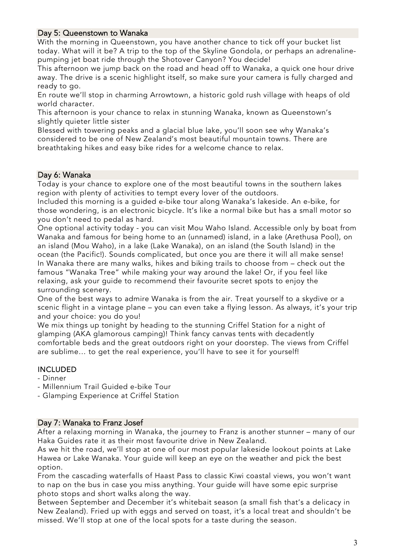## Day 5: Queenstown to Wanaka

With the morning in Queenstown, you have another chance to tick off your bucket list today. What will it be? A trip to the top of the Skyline Gondola, or perhaps an adrenalinepumping jet boat ride through the Shotover Canyon? You decide!

This afternoon we jump back on the road and head off to Wanaka, a quick one hour drive away. The drive is a scenic highlight itself, so make sure your camera is fully charged and ready to go.

En route we'll stop in charming Arrowtown, a historic gold rush village with heaps of old world character.

This afternoon is your chance to relax in stunning Wanaka, known as Queenstown's slightly quieter little sister

Blessed with towering peaks and a glacial blue lake, you'll soon see why Wanaka's considered to be one of New Zealand's most beautiful mountain towns. There are breathtaking hikes and easy bike rides for a welcome chance to relax.

#### Day 6: Wanaka

Today is your chance to explore one of the most beautiful towns in the southern lakes region with plenty of activities to tempt every lover of the outdoors.

Included this morning is a guided e-bike tour along Wanaka's lakeside. An e-bike, for those wondering, is an electronic bicycle. It's like a normal bike but has a small motor so you don't need to pedal as hard.

One optional activity today - you can visit Mou Waho Island. Accessible only by boat from Wanaka and famous for being home to an (unnamed) island, in a lake (Arethusa Pool), on an island (Mou Waho), in a lake (Lake Wanaka), on an island (the South Island) in the ocean (the Pacific!). Sounds complicated, but once you are there it will all make sense! In Wanaka there are many walks, hikes and biking trails to choose from – check out the famous "Wanaka Tree" while making your way around the lake! Or, if you feel like relaxing, ask your guide to recommend their favourite secret spots to enjoy the surrounding scenery.

One of the best ways to admire Wanaka is from the air. Treat yourself to a skydive or a scenic flight in a vintage plane – you can even take a flying lesson. As always, it's your trip and your choice: you do you!

We mix things up tonight by heading to the stunning Criffel Station for a night of glamping (AKA glamorous camping)! Think fancy canvas tents with decadently comfortable beds and the great outdoors right on your doorstep. The views from Criffel are sublime… to get the real experience, you'll have to see it for yourself!

# INCLUDED

- Dinner
- Millennium Trail Guided e-bike Tour
- Glamping Experience at Criffel Station

#### Day 7: Wanaka to Franz Josef

After a relaxing morning in Wanaka, the journey to Franz is another stunner – many of our Haka Guides rate it as their most favourite drive in New Zealand.

As we hit the road, we'll stop at one of our most popular lakeside lookout points at Lake Hawea or Lake Wanaka. Your guide will keep an eye on the weather and pick the best option.

From the cascading waterfalls of Haast Pass to classic Kiwi coastal views, you won't want to nap on the bus in case you miss anything. Your guide will have some epic surprise photo stops and short walks along the way.

Between September and December it's whitebait season (a small fish that's a delicacy in New Zealand). Fried up with eggs and served on toast, it's a local treat and shouldn't be missed. We'll stop at one of the local spots for a taste during the season.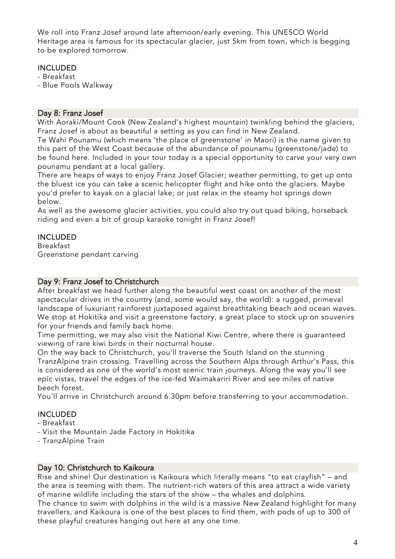We roll into Franz Josef around late afternoon/early evening. This UNESCO World Heritage area is famous for its spectacular glacier, just 5km from town, which is begging to be explored tomorrow.

# INCLUDED

- Breakfast

- Blue Pools Walkway

#### Day 8: Franz Josef

With Aoraki/Mount Cook (New Zealand's highest mountain) twinkling behind the glaciers, Franz Josef is about as beautiful a setting as you can find in New Zealand.

Te Wahi Pounamu (which means 'the place of greenstone' in Maori) is the name given to this part of the West Coast because of the abundance of pounamu (greenstone/jade) to be found here. Included in your tour today is a special opportunity to carve your very own pounamu pendant at a local gallery.

There are heaps of ways to enjoy Franz Josef Glacier; weather permitting, to get up onto the bluest ice you can take a scenic helicopter flight and hike onto the glaciers. Maybe you'd prefer to kayak on a glacial lake; or just relax in the steamy hot springs down below.

As well as the awesome glacier activities, you could also try out quad biking, horseback riding and even a bit of group karaoke tonight in Franz Josef!

# INCLUDED

Breakfast Greenstone pendant carving

#### Day 9: Franz Josef to Christchurch

After breakfast we head further along the beautiful west coast on another of the most spectacular drives in the country (and, some would say, the world): a rugged, primeval landscape of luxuriant rainforest juxtaposed against breathtaking beach and ocean waves. We stop at Hokitika and visit a greenstone factory, a great place to stock up on souvenirs for your friends and family back home.

Time permitting, we may also visit the National Kiwi Centre, where there is guaranteed viewing of rare kiwi birds in their nocturnal house.

On the way back to Christchurch, you'll traverse the South Island on the stunning TranzAlpine train crossing. Travelling across the Southern Alps through Arthur's Pass, this is considered as one of the world's most scenic train journeys. Along the way you'll see epic vistas, travel the edges of the ice-fed Waimakariri River and see miles of native beech forest.

You'll arrive in Christchurch around 6.30pm before transferring to your accommodation.

# INCLUDED

- Breakfast
- Visit the Mountain Jade Factory in Hokitika
- TranzAlpine Train

#### Day 10: Christchurch to Kaikoura

Rise and shine! Our destination is Kaikoura which literally means "to eat crayfish" – and the area is teeming with them. The nutrient-rich waters of this area attract a wide variety of marine wildlife including the stars of the show – the whales and dolphins.

The chance to swim with dolphins in the wild is a massive New Zealand highlight for many travellers, and Kaikoura is one of the best places to find them, with pods of up to 300 of these playful creatures hanging out here at any one time.